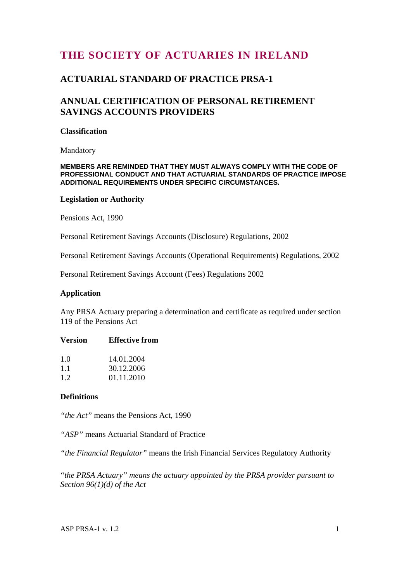# **THE SOCIETY OF ACTUARIES IN IRELAND**

# **ACTUARIAL STANDARD OF PRACTICE PRSA-1**

# **ANNUAL CERTIFICATION OF PERSONAL RETIREMENT SAVINGS ACCOUNTS PROVIDERS**

### **Classification**

Mandatory

#### **MEMBERS ARE REMINDED THAT THEY MUST ALWAYS COMPLY WITH THE CODE OF PROFESSIONAL CONDUCT AND THAT ACTUARIAL STANDARDS OF PRACTICE IMPOSE ADDITIONAL REQUIREMENTS UNDER SPECIFIC CIRCUMSTANCES.**

#### **Legislation or Authority**

Pensions Act, 1990

Personal Retirement Savings Accounts (Disclosure) Regulations, 2002

Personal Retirement Savings Accounts (Operational Requirements) Regulations, 2002

Personal Retirement Savings Account (Fees) Regulations 2002

#### **Application**

Any PRSA Actuary preparing a determination and certificate as required under section 119 of the Pensions Act

#### **Version Effective from**

| 1.0 | 14.01.2004 |
|-----|------------|
| 1.1 | 30.12.2006 |
| 1.2 | 01.11.2010 |

#### **Definitions**

*"the Act"* means the Pensions Act, 1990

*"ASP"* means Actuarial Standard of Practice

*"the Financial Regulator"* means the Irish Financial Services Regulatory Authority

*"the PRSA Actuary" means the actuary appointed by the PRSA provider pursuant to Section 96(1)(d) of the Act*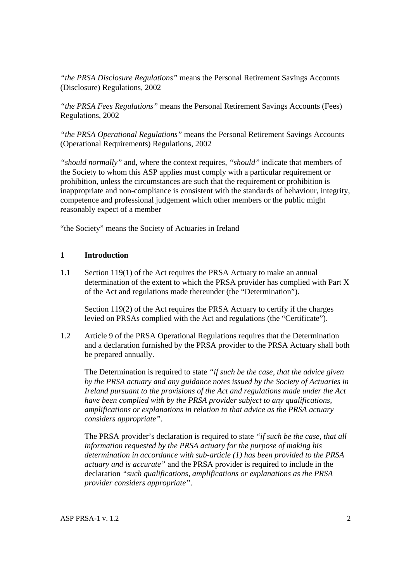*"the PRSA Disclosure Regulations"* means the Personal Retirement Savings Accounts (Disclosure) Regulations, 2002

*"the PRSA Fees Regulations"* means the Personal Retirement Savings Accounts (Fees) Regulations, 2002

*"the PRSA Operational Regulations"* means the Personal Retirement Savings Accounts (Operational Requirements) Regulations, 2002

*"should normally"* and, where the context requires, *"should"* indicate that members of the Society to whom this ASP applies must comply with a particular requirement or prohibition, unless the circumstances are such that the requirement or prohibition is inappropriate and non-compliance is consistent with the standards of behaviour, integrity, competence and professional judgement which other members or the public might reasonably expect of a member

"the Society" means the Society of Actuaries in Ireland

### **1 Introduction**

1.1 Section 119(1) of the Act requires the PRSA Actuary to make an annual determination of the extent to which the PRSA provider has complied with Part X of the Act and regulations made thereunder (the "Determination").

 Section 119(2) of the Act requires the PRSA Actuary to certify if the charges levied on PRSAs complied with the Act and regulations (the "Certificate").

1.2 Article 9 of the PRSA Operational Regulations requires that the Determination and a declaration furnished by the PRSA provider to the PRSA Actuary shall both be prepared annually.

 The Determination is required to state *"if such be the case, that the advice given by the PRSA actuary and any guidance notes issued by the Society of Actuaries in Ireland pursuant to the provisions of the Act and regulations made under the Act have been complied with by the PRSA provider subject to any qualifications, amplifications or explanations in relation to that advice as the PRSA actuary considers appropriate"*.

 The PRSA provider's declaration is required to state *"if such be the case, that all information requested by the PRSA actuary for the purpose of making his determination in accordance with sub-article (1) has been provided to the PRSA actuary and is accurate"* and the PRSA provider is required to include in the declaration *"such qualifications, amplifications or explanations as the PRSA provider considers appropriate"*.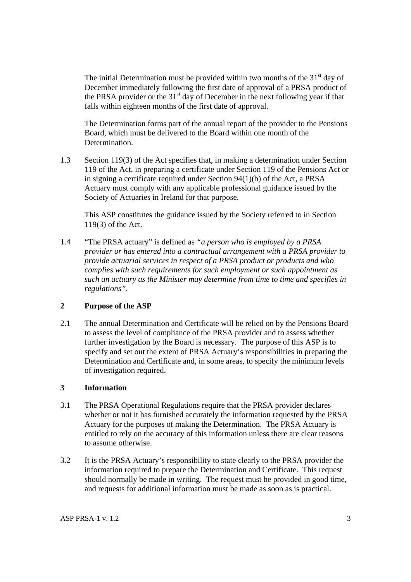The initial Determination must be provided within two months of the  $31<sup>st</sup>$  day of December immediately following the first date of approval of a PRSA product of the PRSA provider or the  $31<sup>st</sup>$  day of December in the next following year if that falls within eighteen months of the first date of approval.

 The Determination forms part of the annual report of the provider to the Pensions Board, which must be delivered to the Board within one month of the Determination.

1.3 Section 119(3) of the Act specifies that, in making a determination under Section 119 of the Act, in preparing a certificate under Section 119 of the Pensions Act or in signing a certificate required under Section 94(1)(b) of the Act, a PRSA Actuary must comply with any applicable professional guidance issued by the Society of Actuaries in Ireland for that purpose.

 This ASP constitutes the guidance issued by the Society referred to in Section 119(3) of the Act.

1.4 "The PRSA actuary" is defined as *"a person who is employed by a PRSA provider or has entered into a contractual arrangement with a PRSA provider to provide actuarial services in respect of a PRSA product or products and who complies with such requirements for such employment or such appointment as such an actuary as the Minister may determine from time to time and specifies in regulations"*.

### **2 Purpose of the ASP**

2.1 The annual Determination and Certificate will be relied on by the Pensions Board to assess the level of compliance of the PRSA provider and to assess whether further investigation by the Board is necessary. The purpose of this ASP is to specify and set out the extent of PRSA Actuary's responsibilities in preparing the Determination and Certificate and, in some areas, to specify the minimum levels of investigation required.

### **3 Information**

- 3.1 The PRSA Operational Regulations require that the PRSA provider declares whether or not it has furnished accurately the information requested by the PRSA Actuary for the purposes of making the Determination. The PRSA Actuary is entitled to rely on the accuracy of this information unless there are clear reasons to assume otherwise.
- 3.2 It is the PRSA Actuary's responsibility to state clearly to the PRSA provider the information required to prepare the Determination and Certificate. This request should normally be made in writing. The request must be provided in good time, and requests for additional information must be made as soon as is practical.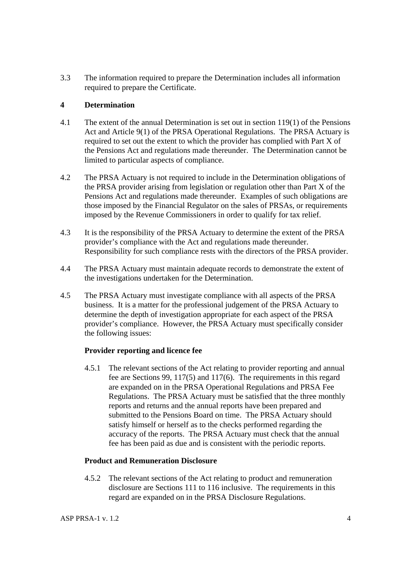3.3 The information required to prepare the Determination includes all information required to prepare the Certificate.

### **4 Determination**

- 4.1 The extent of the annual Determination is set out in section 119(1) of the Pensions Act and Article 9(1) of the PRSA Operational Regulations. The PRSA Actuary is required to set out the extent to which the provider has complied with Part X of the Pensions Act and regulations made thereunder. The Determination cannot be limited to particular aspects of compliance.
- 4.2 The PRSA Actuary is not required to include in the Determination obligations of the PRSA provider arising from legislation or regulation other than Part X of the Pensions Act and regulations made thereunder. Examples of such obligations are those imposed by the Financial Regulator on the sales of PRSAs, or requirements imposed by the Revenue Commissioners in order to qualify for tax relief.
- 4.3 It is the responsibility of the PRSA Actuary to determine the extent of the PRSA provider's compliance with the Act and regulations made thereunder. Responsibility for such compliance rests with the directors of the PRSA provider.
- 4.4 The PRSA Actuary must maintain adequate records to demonstrate the extent of the investigations undertaken for the Determination.
- 4.5 The PRSA Actuary must investigate compliance with all aspects of the PRSA business. It is a matter for the professional judgement of the PRSA Actuary to determine the depth of investigation appropriate for each aspect of the PRSA provider's compliance. However, the PRSA Actuary must specifically consider the following issues:

## **Provider reporting and licence fee**

4.5.1 The relevant sections of the Act relating to provider reporting and annual fee are Sections 99, 117(5) and 117(6). The requirements in this regard are expanded on in the PRSA Operational Regulations and PRSA Fee Regulations. The PRSA Actuary must be satisfied that the three monthly reports and returns and the annual reports have been prepared and submitted to the Pensions Board on time. The PRSA Actuary should satisfy himself or herself as to the checks performed regarding the accuracy of the reports. The PRSA Actuary must check that the annual fee has been paid as due and is consistent with the periodic reports.

### **Product and Remuneration Disclosure**

4.5.2 The relevant sections of the Act relating to product and remuneration disclosure are Sections 111 to 116 inclusive. The requirements in this regard are expanded on in the PRSA Disclosure Regulations.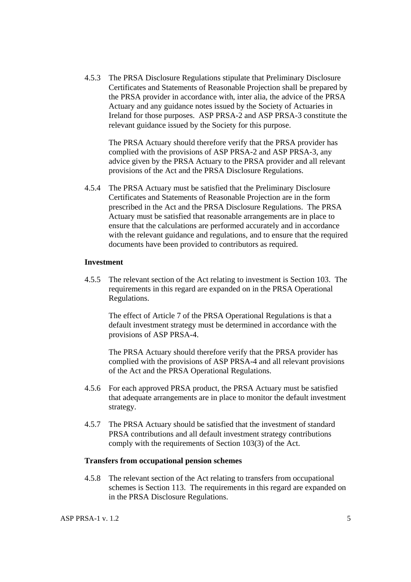4.5.3 The PRSA Disclosure Regulations stipulate that Preliminary Disclosure Certificates and Statements of Reasonable Projection shall be prepared by the PRSA provider in accordance with, inter alia, the advice of the PRSA Actuary and any guidance notes issued by the Society of Actuaries in Ireland for those purposes. ASP PRSA-2 and ASP PRSA-3 constitute the relevant guidance issued by the Society for this purpose.

 The PRSA Actuary should therefore verify that the PRSA provider has complied with the provisions of ASP PRSA-2 and ASP PRSA-3, any advice given by the PRSA Actuary to the PRSA provider and all relevant provisions of the Act and the PRSA Disclosure Regulations.

4.5.4 The PRSA Actuary must be satisfied that the Preliminary Disclosure Certificates and Statements of Reasonable Projection are in the form prescribed in the Act and the PRSA Disclosure Regulations. The PRSA Actuary must be satisfied that reasonable arrangements are in place to ensure that the calculations are performed accurately and in accordance with the relevant guidance and regulations, and to ensure that the required documents have been provided to contributors as required.

#### **Investment**

4.5.5 The relevant section of the Act relating to investment is Section 103. The requirements in this regard are expanded on in the PRSA Operational Regulations.

 The effect of Article 7 of the PRSA Operational Regulations is that a default investment strategy must be determined in accordance with the provisions of ASP PRSA-4.

 The PRSA Actuary should therefore verify that the PRSA provider has complied with the provisions of ASP PRSA-4 and all relevant provisions of the Act and the PRSA Operational Regulations.

- 4.5.6 For each approved PRSA product, the PRSA Actuary must be satisfied that adequate arrangements are in place to monitor the default investment strategy.
- 4.5.7 The PRSA Actuary should be satisfied that the investment of standard PRSA contributions and all default investment strategy contributions comply with the requirements of Section 103(3) of the Act.

#### **Transfers from occupational pension schemes**

4.5.8 The relevant section of the Act relating to transfers from occupational schemes is Section 113. The requirements in this regard are expanded on in the PRSA Disclosure Regulations.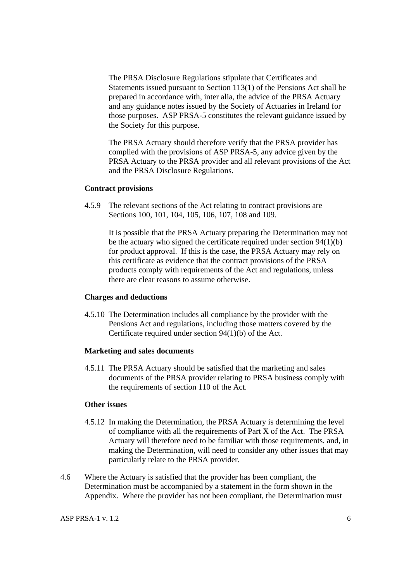The PRSA Disclosure Regulations stipulate that Certificates and Statements issued pursuant to Section 113(1) of the Pensions Act shall be prepared in accordance with, inter alia, the advice of the PRSA Actuary and any guidance notes issued by the Society of Actuaries in Ireland for those purposes. ASP PRSA-5 constitutes the relevant guidance issued by the Society for this purpose.

 The PRSA Actuary should therefore verify that the PRSA provider has complied with the provisions of ASP PRSA-5, any advice given by the PRSA Actuary to the PRSA provider and all relevant provisions of the Act and the PRSA Disclosure Regulations.

#### **Contract provisions**

4.5.9 The relevant sections of the Act relating to contract provisions are Sections 100, 101, 104, 105, 106, 107, 108 and 109.

 It is possible that the PRSA Actuary preparing the Determination may not be the actuary who signed the certificate required under section 94(1)(b) for product approval. If this is the case, the PRSA Actuary may rely on this certificate as evidence that the contract provisions of the PRSA products comply with requirements of the Act and regulations, unless there are clear reasons to assume otherwise.

#### **Charges and deductions**

4.5.10 The Determination includes all compliance by the provider with the Pensions Act and regulations, including those matters covered by the Certificate required under section 94(1)(b) of the Act.

#### **Marketing and sales documents**

4.5.11 The PRSA Actuary should be satisfied that the marketing and sales documents of the PRSA provider relating to PRSA business comply with the requirements of section 110 of the Act.

### **Other issues**

- 4.5.12 In making the Determination, the PRSA Actuary is determining the level of compliance with all the requirements of Part X of the Act. The PRSA Actuary will therefore need to be familiar with those requirements, and, in making the Determination, will need to consider any other issues that may particularly relate to the PRSA provider.
- 4.6 Where the Actuary is satisfied that the provider has been compliant, the Determination must be accompanied by a statement in the form shown in the Appendix. Where the provider has not been compliant, the Determination must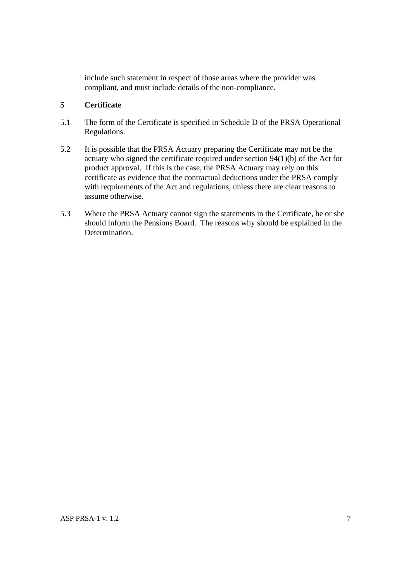include such statement in respect of those areas where the provider was compliant, and must include details of the non-compliance.

### **5 Certificate**

- 5.1 The form of the Certificate is specified in Schedule D of the PRSA Operational Regulations.
- 5.2 It is possible that the PRSA Actuary preparing the Certificate may not be the actuary who signed the certificate required under section 94(1)(b) of the Act for product approval. If this is the case, the PRSA Actuary may rely on this certificate as evidence that the contractual deductions under the PRSA comply with requirements of the Act and regulations, unless there are clear reasons to assume otherwise.
- 5.3 Where the PRSA Actuary cannot sign the statements in the Certificate, he or she should inform the Pensions Board. The reasons why should be explained in the Determination.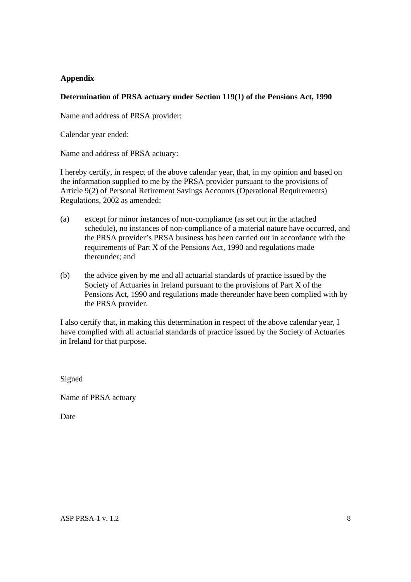### **Appendix**

### **Determination of PRSA actuary under Section 119(1) of the Pensions Act, 1990**

Name and address of PRSA provider:

Calendar year ended:

Name and address of PRSA actuary:

I hereby certify, in respect of the above calendar year, that, in my opinion and based on the information supplied to me by the PRSA provider pursuant to the provisions of Article 9(2) of Personal Retirement Savings Accounts (Operational Requirements) Regulations, 2002 as amended:

- (a) except for minor instances of non-compliance (as set out in the attached schedule), no instances of non-compliance of a material nature have occurred, and the PRSA provider's PRSA business has been carried out in accordance with the requirements of Part X of the Pensions Act, 1990 and regulations made thereunder; and
- (b) the advice given by me and all actuarial standards of practice issued by the Society of Actuaries in Ireland pursuant to the provisions of Part X of the Pensions Act, 1990 and regulations made thereunder have been complied with by the PRSA provider.

I also certify that, in making this determination in respect of the above calendar year, I have complied with all actuarial standards of practice issued by the Society of Actuaries in Ireland for that purpose.

Signed

Name of PRSA actuary

Date